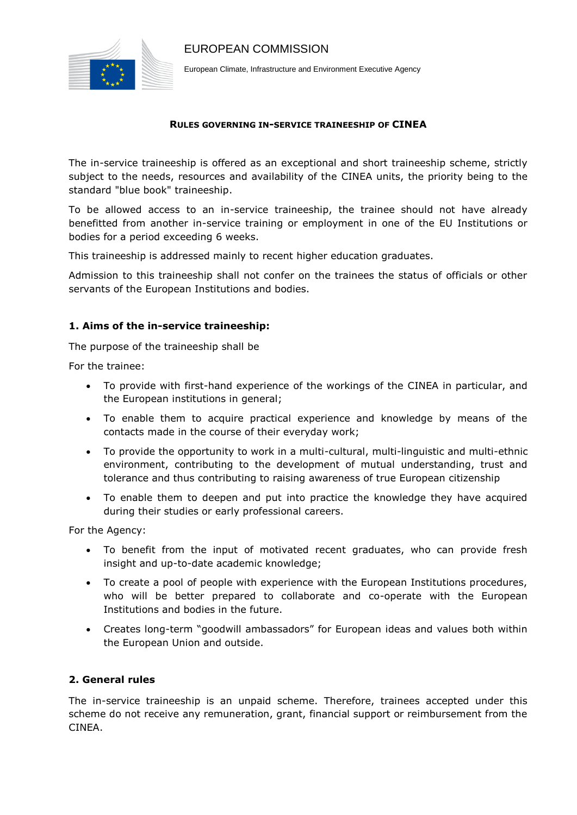

EUROPEAN COMMISSION

European Climate, Infrastructure and Environment Executive Agency

#### **RULES GOVERNING IN-SERVICE TRAINEESHIP OF CINEA**

The in-service traineeship is offered as an exceptional and short traineeship scheme, strictly subject to the needs, resources and availability of the CINEA units, the priority being to the standard "blue book" traineeship.

To be allowed access to an in-service traineeship, the trainee should not have already benefitted from another in-service training or employment in one of the EU Institutions or bodies for a period exceeding 6 weeks.

This traineeship is addressed mainly to recent higher education graduates.

Admission to this traineeship shall not confer on the trainees the status of officials or other servants of the European Institutions and bodies.

## **1. Aims of the in-service traineeship:**

The purpose of the traineeship shall be

For the trainee:

- To provide with first-hand experience of the workings of the CINEA in particular, and the European institutions in general;
- To enable them to acquire practical experience and knowledge by means of the contacts made in the course of their everyday work;
- To provide the opportunity to work in a multi-cultural, multi-linguistic and multi-ethnic environment, contributing to the development of mutual understanding, trust and tolerance and thus contributing to raising awareness of true European citizenship
- To enable them to deepen and put into practice the knowledge they have acquired during their studies or early professional careers.

For the Agency:

- To benefit from the input of motivated recent graduates, who can provide fresh insight and up-to-date academic knowledge;
- To create a pool of people with experience with the European Institutions procedures, who will be better prepared to collaborate and co-operate with the European Institutions and bodies in the future.
- Creates long-term "goodwill ambassadors" for European ideas and values both within the European Union and outside.

## **2. General rules**

The in-service traineeship is an unpaid scheme. Therefore, trainees accepted under this scheme do not receive any remuneration, grant, financial support or reimbursement from the CINEA.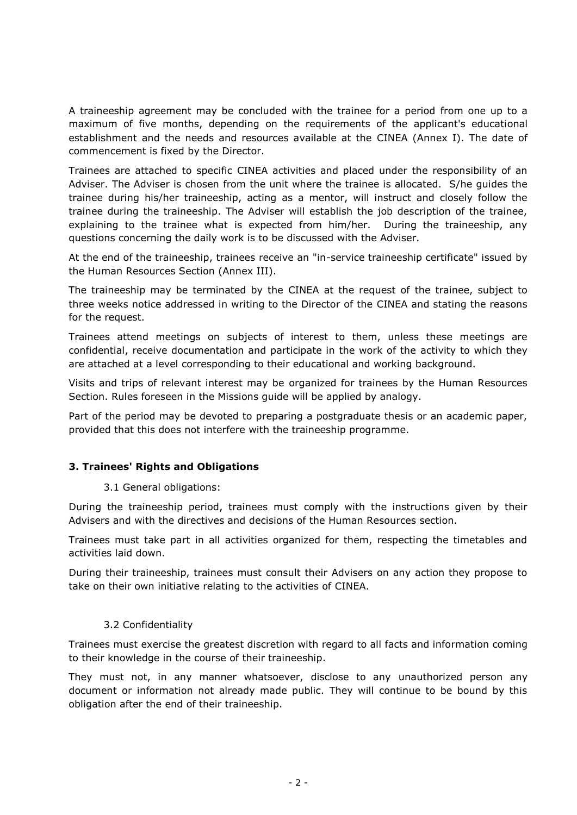A traineeship agreement may be concluded with the trainee for a period from one up to a maximum of five months, depending on the requirements of the applicant's educational establishment and the needs and resources available at the CINEA (Annex I). The date of commencement is fixed by the Director.

Trainees are attached to specific CINEA activities and placed under the responsibility of an Adviser. The Adviser is chosen from the unit where the trainee is allocated. S/he guides the trainee during his/her traineeship, acting as a mentor, will instruct and closely follow the trainee during the traineeship. The Adviser will establish the job description of the trainee, explaining to the trainee what is expected from him/her. During the traineeship, any questions concerning the daily work is to be discussed with the Adviser.

At the end of the traineeship, trainees receive an "in-service traineeship certificate" issued by the Human Resources Section (Annex III).

The traineeship may be terminated by the CINEA at the request of the trainee, subject to three weeks notice addressed in writing to the Director of the CINEA and stating the reasons for the request.

Trainees attend meetings on subjects of interest to them, unless these meetings are confidential, receive documentation and participate in the work of the activity to which they are attached at a level corresponding to their educational and working background.

Visits and trips of relevant interest may be organized for trainees by the Human Resources Section. Rules foreseen in the Missions guide will be applied by analogy.

Part of the period may be devoted to preparing a postgraduate thesis or an academic paper, provided that this does not interfere with the traineeship programme.

## **3. Trainees' Rights and Obligations**

## 3.1 General obligations:

During the traineeship period, trainees must comply with the instructions given by their Advisers and with the directives and decisions of the Human Resources section.

Trainees must take part in all activities organized for them, respecting the timetables and activities laid down.

During their traineeship, trainees must consult their Advisers on any action they propose to take on their own initiative relating to the activities of CINEA.

## 3.2 Confidentiality

Trainees must exercise the greatest discretion with regard to all facts and information coming to their knowledge in the course of their traineeship.

They must not, in any manner whatsoever, disclose to any unauthorized person any document or information not already made public. They will continue to be bound by this obligation after the end of their traineeship.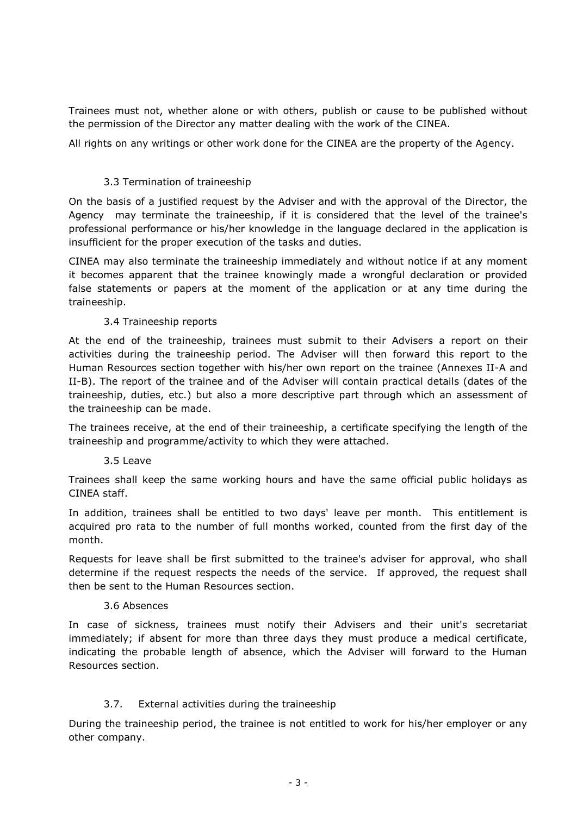Trainees must not, whether alone or with others, publish or cause to be published without the permission of the Director any matter dealing with the work of the CINEA.

All rights on any writings or other work done for the CINEA are the property of the Agency.

# 3.3 Termination of traineeship

On the basis of a justified request by the Adviser and with the approval of the Director, the Agency may terminate the traineeship, if it is considered that the level of the trainee's professional performance or his/her knowledge in the language declared in the application is insufficient for the proper execution of the tasks and duties.

CINEA may also terminate the traineeship immediately and without notice if at any moment it becomes apparent that the trainee knowingly made a wrongful declaration or provided false statements or papers at the moment of the application or at any time during the traineeship.

## 3.4 Traineeship reports

At the end of the traineeship, trainees must submit to their Advisers a report on their activities during the traineeship period. The Adviser will then forward this report to the Human Resources section together with his/her own report on the trainee (Annexes II-A and II-B). The report of the trainee and of the Adviser will contain practical details (dates of the traineeship, duties, etc.) but also a more descriptive part through which an assessment of the traineeship can be made.

The trainees receive, at the end of their traineeship, a certificate specifying the length of the traineeship and programme/activity to which they were attached.

## 3.5 Leave

Trainees shall keep the same working hours and have the same official public holidays as CINEA staff.

In addition, trainees shall be entitled to two days' leave per month. This entitlement is acquired pro rata to the number of full months worked, counted from the first day of the month.

Requests for leave shall be first submitted to the trainee's adviser for approval, who shall determine if the request respects the needs of the service. If approved, the request shall then be sent to the Human Resources section.

#### 3.6 Absences

In case of sickness, trainees must notify their Advisers and their unit's secretariat immediately; if absent for more than three days they must produce a medical certificate, indicating the probable length of absence, which the Adviser will forward to the Human Resources section.

## 3.7. External activities during the traineeship

During the traineeship period, the trainee is not entitled to work for his/her employer or any other company.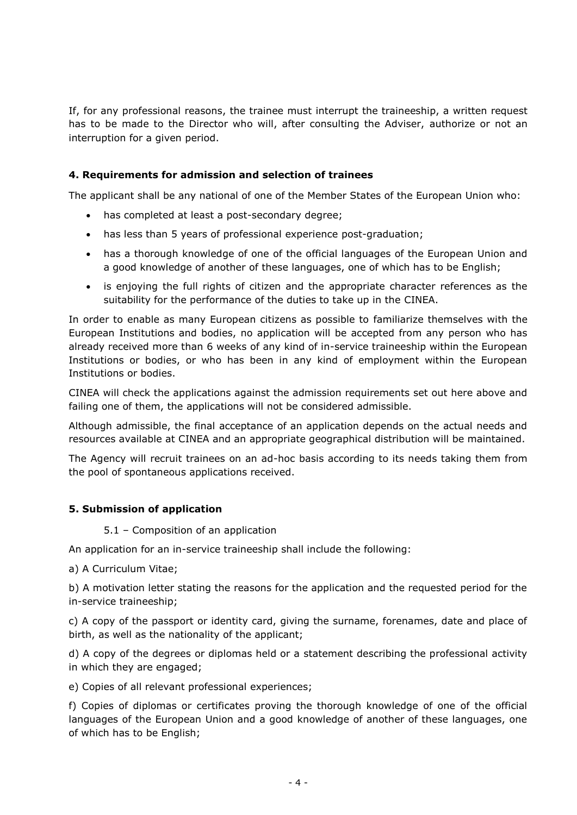If, for any professional reasons, the trainee must interrupt the traineeship, a written request has to be made to the Director who will, after consulting the Adviser, authorize or not an interruption for a given period.

# **4. Requirements for admission and selection of trainees**

The applicant shall be any national of one of the Member States of the European Union who:

- has completed at least a post-secondary degree;
- has less than 5 years of professional experience post-graduation;
- has a thorough knowledge of one of the official languages of the European Union and a good knowledge of another of these languages, one of which has to be English;
- is enjoying the full rights of citizen and the appropriate character references as the suitability for the performance of the duties to take up in the CINEA.

In order to enable as many European citizens as possible to familiarize themselves with the European Institutions and bodies, no application will be accepted from any person who has already received more than 6 weeks of any kind of in-service traineeship within the European Institutions or bodies, or who has been in any kind of employment within the European Institutions or bodies.

CINEA will check the applications against the admission requirements set out here above and failing one of them, the applications will not be considered admissible.

Although admissible, the final acceptance of an application depends on the actual needs and resources available at CINEA and an appropriate geographical distribution will be maintained.

The Agency will recruit trainees on an ad-hoc basis according to its needs taking them from the pool of spontaneous applications received.

## **5. Submission of application**

5.1 – Composition of an application

An application for an in-service traineeship shall include the following:

a) A Curriculum Vitae;

b) A motivation letter stating the reasons for the application and the requested period for the in-service traineeship;

c) A copy of the passport or identity card, giving the surname, forenames, date and place of birth, as well as the nationality of the applicant;

d) A copy of the degrees or diplomas held or a statement describing the professional activity in which they are engaged;

e) Copies of all relevant professional experiences;

f) Copies of diplomas or certificates proving the thorough knowledge of one of the official languages of the European Union and a good knowledge of another of these languages, one of which has to be English;